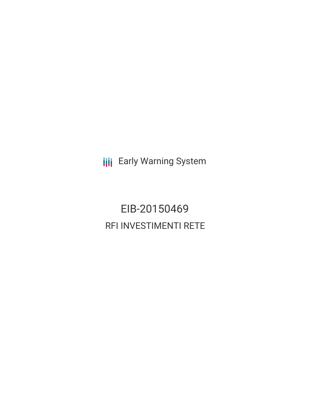**III** Early Warning System

EIB-20150469 RFI INVESTIMENTI RETE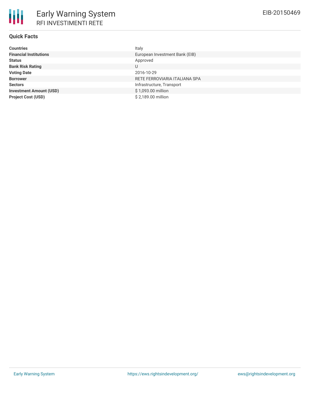# **Quick Facts**

| <b>Countries</b>               | Italy                          |
|--------------------------------|--------------------------------|
| <b>Financial Institutions</b>  | European Investment Bank (EIB) |
| Status                         | Approved                       |
| <b>Bank Risk Rating</b>        | U                              |
| <b>Voting Date</b>             | 2016-10-29                     |
| <b>Borrower</b>                | RETE FERROVIARIA ITALIANA SPA  |
| <b>Sectors</b>                 | Infrastructure, Transport      |
| <b>Investment Amount (USD)</b> | \$1,093.00 million             |
| <b>Project Cost (USD)</b>      | \$2,189.00 million             |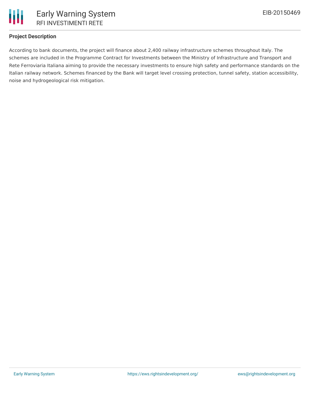

## **Project Description**

According to bank documents, the project will finance about 2,400 railway infrastructure schemes throughout Italy. The schemes are included in the Programme Contract for Investments between the Ministry of Infrastructure and Transport and Rete Ferroviaria Italiana aiming to provide the necessary investments to ensure high safety and performance standards on the Italian railway network. Schemes financed by the Bank will target level crossing protection, tunnel safety, station accessibility, noise and hydrogeological risk mitigation.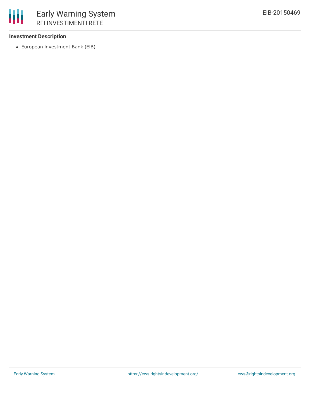## **Investment Description**

冊

European Investment Bank (EIB)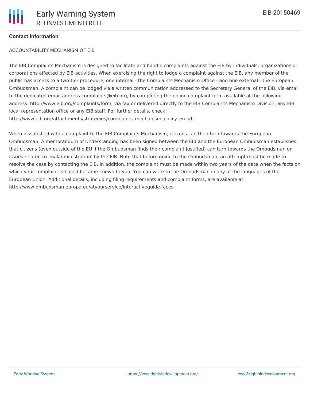### **Contact Information**

### ACCOUNTABILITY MECHANISM OF EIB

The EIB Complaints Mechanism is designed to facilitate and handle complaints against the EIB by individuals, organizations or corporations affected by EIB activities. When exercising the right to lodge a complaint against the EIB, any member of the public has access to a two-tier procedure, one internal - the Complaints Mechanism Office - and one external - the European Ombudsman. A complaint can be lodged via a written communication addressed to the Secretary General of the EIB, via email to the dedicated email address complaints@eib.org, by completing the online complaint form available at the following address: http://www.eib.org/complaints/form, via fax or delivered directly to the EIB Complaints Mechanism Division, any EIB local representation office or any EIB staff. For further details, check: http://www.eib.org/attachments/strategies/complaints\_mechanism\_policy\_en.pdf

When dissatisfied with a complaint to the EIB Complaints Mechanism, citizens can then turn towards the European Ombudsman. A memorandum of Understanding has been signed between the EIB and the European Ombudsman establishes that citizens (even outside of the EU if the Ombudsman finds their complaint justified) can turn towards the Ombudsman on issues related to 'maladministration' by the EIB. Note that before going to the Ombudsman, an attempt must be made to resolve the case by contacting the EIB. In addition, the complaint must be made within two years of the date when the facts on which your complaint is based became known to you. You can write to the Ombudsman in any of the languages of the European Union. Additional details, including filing requirements and complaint forms, are available at: http://www.ombudsman.europa.eu/atyourservice/interactiveguide.faces